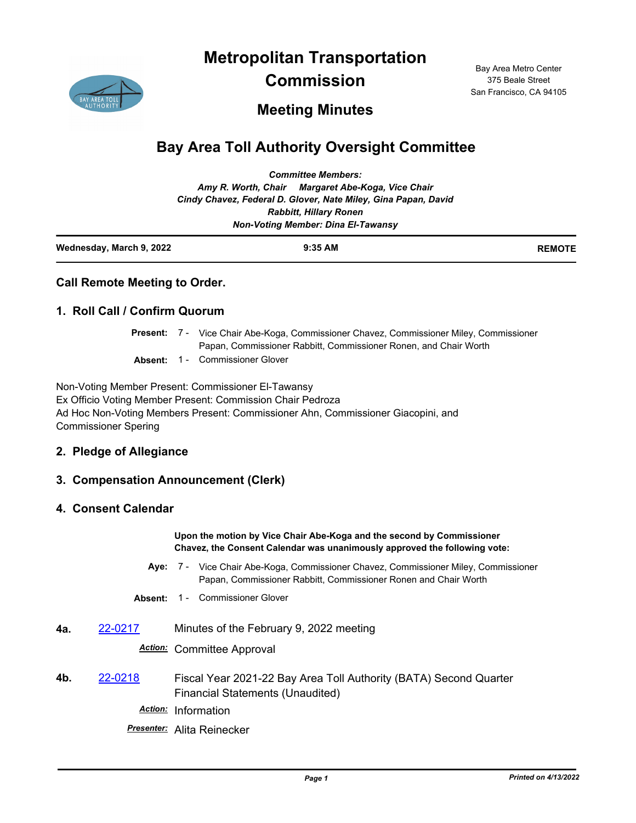**Metropolitan Transportation** 



**Commission**

Bay Area Metro Center 375 Beale Street San Francisco, CA 94105

## **Meeting Minutes**

# **Bay Area Toll Authority Oversight Committee**

| Wednesday, March 9, 2022 | $9:35$ AM                                                      | <b>REMOTE</b> |
|--------------------------|----------------------------------------------------------------|---------------|
|                          | <b>Non-Voting Member: Dina El-Tawansy</b>                      |               |
|                          | <b>Rabbitt, Hillary Ronen</b>                                  |               |
|                          | Cindy Chavez, Federal D. Glover, Nate Miley, Gina Papan, David |               |
|                          | Amy R. Worth, Chair Margaret Abe-Koga, Vice Chair              |               |
|                          | <b>Committee Members:</b>                                      |               |

|  | <b>Call Remote Meeting to Order.</b> |  |
|--|--------------------------------------|--|
|  |                                      |  |

## **1. Roll Call / Confirm Quorum**

- Present: 7 Vice Chair Abe-Koga, Commissioner Chavez, Commissioner Miley, Commissioner Papan, Commissioner Rabbitt, Commissioner Ronen, and Chair Worth
- **Absent:** 1 Commissioner Glover

Non-Voting Member Present: Commissioner El-Tawansy Ex Officio Voting Member Present: Commission Chair Pedroza Ad Hoc Non-Voting Members Present: Commissioner Ahn, Commissioner Giacopini, and Commissioner Spering

### **2. Pledge of Allegiance**

## **3. Compensation Announcement (Clerk)**

## **4. Consent Calendar**

**Upon the motion by Vice Chair Abe-Koga and the second by Commissioner Chavez, the Consent Calendar was unanimously approved the following vote:**

- Aye: 7 Vice Chair Abe-Koga, Commissioner Chavez, Commissioner Miley, Commissioner Papan, Commissioner Rabbitt, Commissioner Ronen and Chair Worth
- **Absent:** 1 Commissioner Glover
- **4a.** [22-0217](http://mtc.legistar.com/gateway.aspx?m=l&id=/matter.aspx?key=23476) Minutes of the February 9, 2022 meeting

### *Action:* Committee Approval

**4b.** [22-0218](http://mtc.legistar.com/gateway.aspx?m=l&id=/matter.aspx?key=23477) Fiscal Year 2021-22 Bay Area Toll Authority (BATA) Second Quarter Financial Statements (Unaudited)

*Action:* Information

*Presenter:* Alita Reinecker